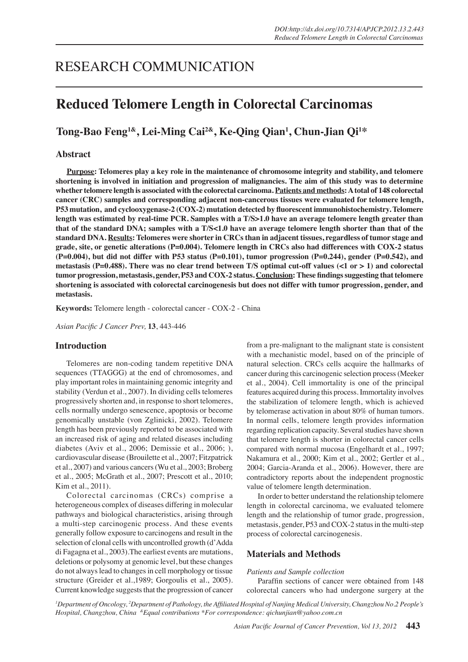# RESEARCH COMMUNICATION

## **Reduced Telomere Length in Colorectal Carcinomas**

**Tong-Bao Feng1&, Lei-Ming Cai2&, Ke-Qing Qian1 , Chun-Jian Qi1 \***

## **Abstract**

**Purpose: Telomeres play a key role in the maintenance of chromosome integrity and stability, and telomere shortening is involved in initiation and progression of malignancies. The aim of this study was to determine whether telomere length is associated with the colorectal carcinoma. Patients and methods: A total of 148 colorectal cancer (CRC) samples and corresponding adjacent non-cancerous tissues were evaluated for telomere length, P53 mutation, and cyclooxygenase-2 (COX-2) mutation detected by fluorescent immunohistochemistry. Telomere length was estimated by real-time PCR. Samples with a T/S>1.0 have an average telomere length greater than that of the standard DNA; samples with a T/S<1.0 have an average telomere length shorter than that of the standard DNA. Results: Telomeres were shorter in CRCs than in adjacent tissues, regardless of tumor stage and grade, site, or genetic alterations (P=0.004). Telomere length in CRCs also had differences with COX-2 status (P=0.004), but did not differ with P53 status (P=0.101), tumor progression (P=0.244), gender (P=0.542), and metastasis (P=0.488). There was no clear trend between T/S optimal cut-off values (<1 or > 1) and colorectal tumor progression, metastasis, gender, P53 and COX-2 status. Conclusion: These findings suggesting that telomere shortening is associated with colorectal carcinogenesis but does not differ with tumor progression, gender, and metastasis.**

**Keywords:** Telomere length - colorectal cancer - COX-2 - China

*Asian Pacific J Cancer Prev,* **13**, 443-446

### **Introduction**

Telomeres are non-coding tandem repetitive DNA sequences (TTAGGG) at the end of chromosomes, and play important roles in maintaining genomic integrity and stability (Verdun et al., 2007). In dividing cells telomeres progressively shorten and, in response to short telomeres, cells normally undergo senescence, apoptosis or become genomically unstable (von Zglinicki, 2002). Telomere length has been previously reported to be associated with an increased risk of aging and related diseases including diabetes (Aviv et al., 2006; Demissie et al., 2006; ), cardiovascular disease (Brouilette et al., 2007; Fitzpatrick et al., 2007) and various cancers (Wu et al., 2003; Broberg et al., 2005; McGrath et al., 2007; Prescott et al., 2010; Kim et al., 2011).

Colorectal carcinomas (CRCs) comprise a heterogeneous complex of diseases differing in molecular pathways and biological characteristics, arising through a multi-step carcinogenic process. And these events generally follow exposure to carcinogens and result in the selection of clonal cells with uncontrolled growth (d'Adda di Fagagna et al., 2003).The earliest events are mutations, deletions or polysomy at genomic level, but these changes do not always lead to changes in cell morphology or tissue structure (Greider et al.,1989; Gorgoulis et al., 2005). Current knowledge suggests that the progression of cancer

from a pre-malignant to the malignant state is consistent with a mechanistic model, based on of the principle of natural selection. CRCs cells acquire the hallmarks of cancer during this carcinogenic selection process (Meeker et al., 2004). Cell immortality is one of the principal features acquired during this process. Immortality involves the stabilization of telomere length, which is achieved by telomerase activation in about 80% of human tumors. In normal cells, telomere length provides information regarding replication capacity. Several studies have shown that telomere length is shorter in colorectal cancer cells compared with normal mucosa (Engelhardt et al., 1997; Nakamura et al., 2000; Kim et al., 2002; Gertler et al., 2004; Garcia-Aranda et al., 2006). However, there are contradictory reports about the independent prognostic value of telomere length determination.

In order to better understand the relationship telomere length in colorectal carcinoma, we evaluated telomere length and the relationship of tumor grade, progression, metastasis, gender, P53 and COX-2 status in the multi-step process of colorectal carcinogenesis.

## **Materials and Methods**

#### *Patients and Sample collection*

 Paraffin sections of cancer were obtained from 148 colorectal cancers who had undergone surgery at the

*1 Department of Oncology, <sup>2</sup> Department of Pathology, the Affiliated Hospital of Nanjing Medical University, Changzhou No.2 People's Hospital, Changzhou, China &Equal contributions \*For correspondence: qichunjian@yahoo.com.cn*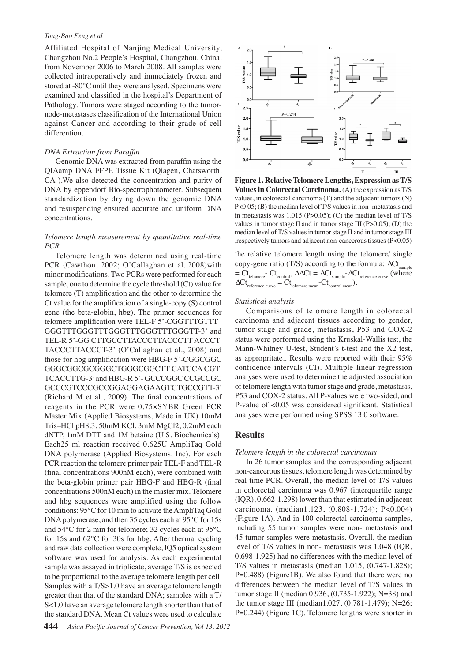#### *Tong-Bao Feng et al*

Affiliated Hospital of Nanjing Medical University, Changzhou No.2 People's Hospital, Changzhou, China, from November 2006 to March 2008. All samples were collected intraoperatively and immediately frozen and stored at -80°C until they were analysed. Specimens were examined and classified in the hospital's Department of Pathology. Tumors were staged according to the tumornode-metastases classification of the International Union against Cancer and according to their grade of cell differention.

#### *DNA Extraction from Paraffin*

 Genomic DNA was extracted from paraffin using the QIAamp DNA FFPE Tissue Kit (Qiagen, Chatsworth, CA ).We also detected the concentration and purity of DNA by eppendorf Bio-spectrophotometer. Subsequent standardization by drying down the genomic DNA and resuspending ensured accurate and uniform DNA concentrations.

## *Telomere length measurement by quantitative real-time PCR*

Telomere length was determined using real-time PCR (Cawthon, 2002; O'Callaghan et al.,2008)with minor modifications. Two PCRs were performed for each sample, one to determine the cycle threshold (Ct) value for telomere (T) amplification and the other to determine the Ct value for the amplification of a single-copy (S) control gene (the beta-globin, hbg). The primer sequences for telomere amplification were TEL-F 5'-CGGTTTGTTT GGGTTTGGGTTTGGGTTTGGGTTTGGGTT-3' and TEL-R 5'-GG CTTGCCTTACCCTTACCCTT ACCCT TACCCTTACCCT-3' (O'Callaghan et al., 2008) and those for hbg amplification were HBG-F 5'-CGGCGGC GGGCGGCGCGGGCTGGGCGGCTT CATCCA CGT TCACCTTG-3' and HBG-R 5'- GCCCGGC CCGCCGC GCCCGTCCCGCCGGAGGAGAAGTCTGCCGTT-3' (Richard M et al., 2009). The final concentrations of reagents in the PCR were 0.75×SYBR Green PCR Master Mix (Applied Biosystems, Made in UK) 10mM Tris–HCl pH8.3, 50mM KCl, 3mM MgCl2, 0.2mM each dNTP, 1mM DTT and 1M betaine (U.S. Biochemicals). Each25 ml reaction received 0.625U AmpliTaq Gold DNA polymerase (Applied Biosystems, Inc). For each PCR reaction the telomere primer pair TEL-F and TEL-R (final concentrations 900nM each), were combined with the beta-globin primer pair HBG-F and HBG-R (final concentrations 500nM each) in the master mix. Telomere and hbg sequences were amplified using the follow conditions: 95℃for 10 min to activate theAmpliTaq Gold DNApolymerase, and then 35 cycles each at 95℃ for 15s and 54℃ for 2 min for telomere; 32 cycles each at 95℃ for 15s and 62℃ for 30s for hbg. After thermal cycling and raw data collection were complete, IQ5 optical system software was used for analysis. As each experimental sample was assayed in triplicate, average T/S is expected to be proportional to the average telomere length per cell. Samples with a T/S>1.0 have an average telomere length greater than that of the standard DNA; samples with a T/ S<1.0 have an average telomere length shorter than that of the standard DNA. Mean Ct values were used to calculate



**Figure 1. Relative Telomere Lengths, Expression as T/S Values in Colorectal Carcinoma.** (A) the expression as T/S values, in colorectal carcinoma (T) and the adjacent tumors (N) P<0.05; (B) the median level of T/S values in non- metastasis and in metastasis was  $1.015$  (P $>0.05$ ); (C) the median level of T/S values in tumor stage II and in tumor stage III  $(P>0.05)$ ; (D) the median level of T/S values in tumor stage II and in tumor stage III ,respectively tumors and adjacent non-cancerous tissues (P<0.05)

the relative telomere length using the telomere/ single copy-gene ratio (T/S) according to the formula:  $\Delta C t_{sample}$  $= Ct_{\text{tolomere}}$ -  $Ct_{\text{control}}$ ,  $\Delta \Delta Ct = \Delta Ct_{\text{sample}}$ - $\Delta Ct_{\text{reference curve}}$  (where  $\Delta C t_{\text{reference curve}} = C t_{\text{tolmer mean}} - C t_{\text{control mean}}$ .

#### *Statistical analysis*

Comparisons of telomere length in colorectal carcinoma and adjacent tissues according to gender, tumor stage and grade, metastasis, P53 and COX-2 status were performed using the Kruskal-Wallis test, the Mann-Whitney U-test, Student's t-test and the X2 test, as appropritate.. Results were reported with their 95% confidence intervals (CI). Multiple linear regression analyses were used to determine the adjusted association of telomere length with tumor stage and grade, metastasis, P53 and COX-2 status. All P-values were two-sided, and P-value of <0.05 was considered significant. Statistical analyses were performed using SPSS 13.0 software.

## **Results**

#### *Telomere length in the colorectal carcinomas*

In 26 tumor samples and the corresponding adjacent non-cancerous tissues, telomere length was determined by real-time PCR. Overall, the median level of T/S values in colorectal carcinoma was 0.967 (interquartile range (IQR), 0.662-1.298) lower than that estimated in adjacent carcinoma. (median1.123, (0.808-1.724); P<0.004) (Figure 1A). And in 100 colorectal carcinoma samples, including 55 tumor samples were non- metastasis and 45 tumor samples were metastasis. Overall, the median level of T/S values in non- metastasis was 1.048 (IQR, 0.698-1.925) had no differences with the median level of T/S values in metastasis (median 1.015, (0.747-1.828); P=0.488) (Figure1B). We also found that there were no differences between the median level of T/S values in tumor stage II (median 0.936, (0.735-1.922); N=38) and the tumor stage III (median1.027, (0.781-1.479); N=26; P=0.244) (Figure 1C). Telomere lengths were shorter in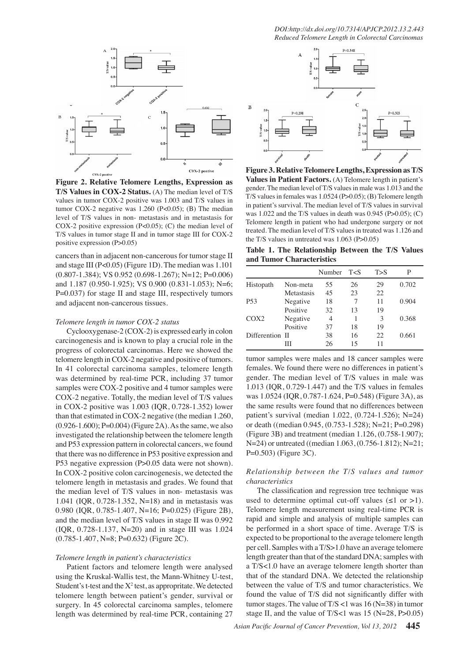*DOI:http://dx.doi.org/10.7314/APJCP.2012.13.2.443 Reduced Telomere Length in Colorectal Carcinomas*



**Figure 2. Relative Telomere Lengths, Expression as T/S Values in COX-2 Status.** (A) The median level of T/S values in tumor COX-2 positive was 1.003 and T/S values in tumor COX-2 negative was 1.260 (P<0.05); (B) The median level of T/S values in non- metastasis and in metastasis for COX-2 positive expression (P<0.05); (C) the median level of T/S values in tumor stage II and in tumor stage III for COX-2 positive expression (P>0.05)

cancers than in adjacent non-cancerous for tumor stage II and stage III (P<0.05) (Figure 1D). The median was 1.101  $(0.807-1.384)$ ; VS  $0.952$   $(0.698-1.267)$ ; N=12; P=0.006) and 1.187 (0.950-1.925); VS 0.900 (0.831-1.053); N=6; P=0.037) for stage II and stage III, respectively tumors and adjacent non-cancerous tissues.

#### *Telomere length in tumor COX-2 status*

Cyclooxygenase-2 (COX-2) is expressed early in colon carcinogenesis and is known to play a crucial role in the progress of colorectal carcinomas. Here we showed the telomere length in COX-2 negative and positive of tumors. In 41 colorectal carcinoma samples, telomere length was determined by real-time PCR, including 37 tumor samples were COX-2 positive and 4 tumor samples were COX-2 negative. Totally, the median level of T/S values in COX-2 positive was 1.003 (IQR, 0.728-1.352) lower than that estimated in COX-2 negative (the median 1.260,  $(0.926-1.600)$ ; P=0.004) (Figure 2A). As the same, we also investigated the relationship between the telomere length and P53 expression pattern in colorectal cancers, we found that there was no difference in P53 positive expression and P53 negative expression (P>0.05 data were not shown). In COX-2 positive colon carcinogenesis, we detected the telomere length in metastasis and grades. We found that the median level of T/S values in non- metastasis was 1.041 (IQR, 0.728-1.352, N=18) and in metastasis was 0.980 (IQR, 0.785-1.407, N=16; P=0.025) (Figure 2B), and the median level of T/S values in stage II was 0.992 (IQR, 0.728-1.137, N=20) and in stage III was 1.024 (0.785-1.407, N=8; P=0.632) (Figure 2C).

#### *Telomere length in patient's characteristics*

Patient factors and telomere length were analysed using the Kruskal-Wallis test, the Mann-Whitney U-test, Student's t-test and the  $X^2$  test, as appropritate. We detected telomere length between patient's gender, survival or surgery. In 45 colorectal carcinoma samples, telomere length was determined by real-time PCR, containing 27



25.0 in patient's survival. The median level of T/S values in survival 50.0 75.0 **Figure 3. Relative Telomere Lengths, Expression as T/S Values in Patient Factors.** (A) Telomere length in patient's gender. The median level of T/S values in male was 1.013 and the T/S values in females was 1.0524 (P>0.05); (B) Telomere length was 1.022 and the T/S values in death was  $0.945$  (P $>0.05$ ); (C) Telomere length in patient who had undergone surgery or not treated. The median level of T/S values in treated was 1.126 and the T/S values in untreated was 1.063 (P>0.05)

**Table 1. The Relationship Between the T/S Values 3 and Tumor Characteristics**

|                  |            | Number T <s< th=""><th></th><th>T &gt; S</th><th></th></s<> |    | T > S |       |
|------------------|------------|-------------------------------------------------------------|----|-------|-------|
| Histopath        | Non-meta   | 55                                                          | 26 | 29    | 0.702 |
|                  | Metastasis | 45                                                          | 23 | 22    |       |
| P <sub>53</sub>  | Negative   | 18                                                          |    | 11    | 0.904 |
|                  | Positive   | 32                                                          | 13 | 19    |       |
| COX <sub>2</sub> | Negative   | 4                                                           |    | 3     | 0.368 |
|                  | Positive   | 37                                                          | 18 | 19    |       |
| Differention II  |            | 38                                                          | 16 | 22    | 0.661 |
|                  | Ш          | 26                                                          | 15 | 11    |       |

tumor samples were males and 18 cancer samples were females. We found there were no differences in patient's gender. The median level of T/S values in male was 1.013 (IQR, 0.729-1.447) and the T/S values in females was 1.0524 (IQR, 0.787-1.624, P=0.548) (Figure 3A), as the same results were found that no differences between patient's survival (median 1.022, (0.724-1.526); N=24) or death ((median 0.945, (0.753-1.528); N=21; P=0.298) (Figure 3B) and treatment (median 1.126, (0.758-1.907); N=24) or untreated ((median 1.063, (0.756-1.812); N=21; P=0.503) (Figure 3C).

## *Relationship between the T/S values and tumor characteristics*

 The classification and regression tree technique was used to determine optimal cut-off values  $(\leq 1 \text{ or } > 1)$ . Telomere length measurement using real-time PCR is rapid and simple and analysis of multiple samples can be performed in a short space of time. Average T/S is expected to be proportional to the average telomere length per cell. Samples with a T/S>1.0 have an average telomere length greater than that of the standard DNA; samples with a T/S<1.0 have an average telomere length shorter than that of the standard DNA. We detected the relationship between the value of T/S and tumor characteristics. We found the value of T/S did not significantly differ with tumor stages. The value of  $T/S < 1$  was 16 (N=38) in tumor stage II, and the value of T/S<1 was 15 (N=28, P>0.05)

0